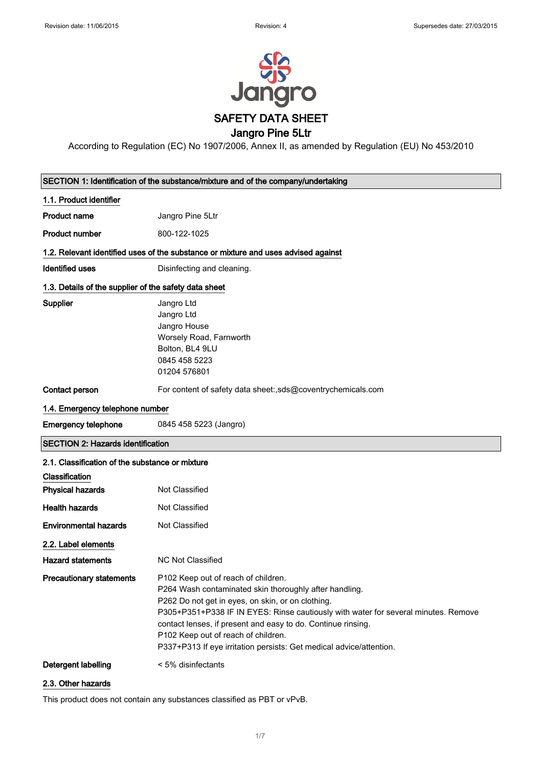

According to Regulation (EC) No 1907/2006, Annex II, as amended by Regulation (EU) No 453/2010

|                                                       | SECTION 1: Identification of the substance/mixture and of the company/undertaking                                                                                                                                                                                                                                                                                                                                      |
|-------------------------------------------------------|------------------------------------------------------------------------------------------------------------------------------------------------------------------------------------------------------------------------------------------------------------------------------------------------------------------------------------------------------------------------------------------------------------------------|
| 1.1. Product identifier                               |                                                                                                                                                                                                                                                                                                                                                                                                                        |
| Product name                                          | Jangro Pine 5Ltr                                                                                                                                                                                                                                                                                                                                                                                                       |
| <b>Product number</b>                                 | 800-122-1025                                                                                                                                                                                                                                                                                                                                                                                                           |
|                                                       | 1.2. Relevant identified uses of the substance or mixture and uses advised against                                                                                                                                                                                                                                                                                                                                     |
| <b>Identified uses</b>                                | Disinfecting and cleaning.                                                                                                                                                                                                                                                                                                                                                                                             |
| 1.3. Details of the supplier of the safety data sheet |                                                                                                                                                                                                                                                                                                                                                                                                                        |
| <b>Supplier</b>                                       | Jangro Ltd<br>Jangro Ltd<br>Jangro House<br>Worsely Road, Farnworth<br>Bolton, BL4 9LU<br>0845 458 5223<br>01204 576801                                                                                                                                                                                                                                                                                                |
| Contact person                                        | For content of safety data sheet:,sds@coventrychemicals.com                                                                                                                                                                                                                                                                                                                                                            |
| 1.4. Emergency telephone number                       |                                                                                                                                                                                                                                                                                                                                                                                                                        |
| <b>Emergency telephone</b>                            | 0845 458 5223 (Jangro)                                                                                                                                                                                                                                                                                                                                                                                                 |
| <b>SECTION 2: Hazards identification</b>              |                                                                                                                                                                                                                                                                                                                                                                                                                        |
| 2.1. Classification of the substance or mixture       |                                                                                                                                                                                                                                                                                                                                                                                                                        |
| Classification                                        |                                                                                                                                                                                                                                                                                                                                                                                                                        |
| <b>Physical hazards</b>                               | Not Classified                                                                                                                                                                                                                                                                                                                                                                                                         |
| <b>Health hazards</b>                                 | Not Classified                                                                                                                                                                                                                                                                                                                                                                                                         |
| <b>Environmental hazards</b>                          | Not Classified                                                                                                                                                                                                                                                                                                                                                                                                         |
| 2.2. Label elements                                   |                                                                                                                                                                                                                                                                                                                                                                                                                        |
| <b>Hazard statements</b>                              | <b>NC Not Classified</b>                                                                                                                                                                                                                                                                                                                                                                                               |
| <b>Precautionary statements</b>                       | P102 Keep out of reach of children.<br>P264 Wash contaminated skin thoroughly after handling.<br>P262 Do not get in eyes, on skin, or on clothing.<br>P305+P351+P338 IF IN EYES: Rinse cautiously with water for several minutes. Remove<br>contact lenses, if present and easy to do. Continue rinsing.<br>P102 Keep out of reach of children.<br>P337+P313 If eye irritation persists: Get medical advice/attention. |
| Detergent labelling                                   | < 5% disinfectants                                                                                                                                                                                                                                                                                                                                                                                                     |

#### 2.3. Other hazards

This product does not contain any substances classified as PBT or vPvB.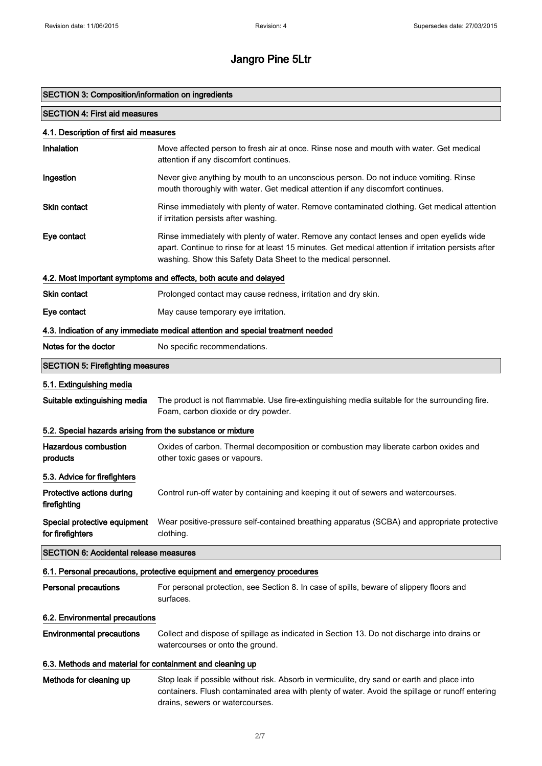| SECTION 3: Composition/information on ingredients          |                                                                                                                                                                                                                                                                   |
|------------------------------------------------------------|-------------------------------------------------------------------------------------------------------------------------------------------------------------------------------------------------------------------------------------------------------------------|
| <b>SECTION 4: First aid measures</b>                       |                                                                                                                                                                                                                                                                   |
| 4.1. Description of first aid measures                     |                                                                                                                                                                                                                                                                   |
| Inhalation                                                 | Move affected person to fresh air at once. Rinse nose and mouth with water. Get medical<br>attention if any discomfort continues.                                                                                                                                 |
| Ingestion                                                  | Never give anything by mouth to an unconscious person. Do not induce vomiting. Rinse<br>mouth thoroughly with water. Get medical attention if any discomfort continues.                                                                                           |
| <b>Skin contact</b>                                        | Rinse immediately with plenty of water. Remove contaminated clothing. Get medical attention<br>if irritation persists after washing.                                                                                                                              |
| Eye contact                                                | Rinse immediately with plenty of water. Remove any contact lenses and open eyelids wide<br>apart. Continue to rinse for at least 15 minutes. Get medical attention if irritation persists after<br>washing. Show this Safety Data Sheet to the medical personnel. |
|                                                            | 4.2. Most important symptoms and effects, both acute and delayed                                                                                                                                                                                                  |
| <b>Skin contact</b>                                        | Prolonged contact may cause redness, irritation and dry skin.                                                                                                                                                                                                     |
| Eye contact                                                | May cause temporary eye irritation.                                                                                                                                                                                                                               |
|                                                            | 4.3. Indication of any immediate medical attention and special treatment needed                                                                                                                                                                                   |
| Notes for the doctor                                       | No specific recommendations.                                                                                                                                                                                                                                      |
| <b>SECTION 5: Firefighting measures</b>                    |                                                                                                                                                                                                                                                                   |
| 5.1. Extinguishing media                                   |                                                                                                                                                                                                                                                                   |
| Suitable extinguishing media                               | The product is not flammable. Use fire-extinguishing media suitable for the surrounding fire.<br>Foam, carbon dioxide or dry powder.                                                                                                                              |
| 5.2. Special hazards arising from the substance or mixture |                                                                                                                                                                                                                                                                   |
| <b>Hazardous combustion</b><br>products                    | Oxides of carbon. Thermal decomposition or combustion may liberate carbon oxides and<br>other toxic gases or vapours.                                                                                                                                             |
| 5.3. Advice for firefighters                               |                                                                                                                                                                                                                                                                   |
| Protective actions during<br>firefighting                  | Control run-off water by containing and keeping it out of sewers and watercourses.                                                                                                                                                                                |
| Special protective equipment<br>for firefighters           | Wear positive-pressure self-contained breathing apparatus (SCBA) and appropriate protective<br>clothing.                                                                                                                                                          |
| <b>SECTION 6: Accidental release measures</b>              |                                                                                                                                                                                                                                                                   |
|                                                            | 6.1. Personal precautions, protective equipment and emergency procedures                                                                                                                                                                                          |
| <b>Personal precautions</b>                                | For personal protection, see Section 8. In case of spills, beware of slippery floors and<br>surfaces.                                                                                                                                                             |
| 6.2. Environmental precautions                             |                                                                                                                                                                                                                                                                   |
| <b>Environmental precautions</b>                           | Collect and dispose of spillage as indicated in Section 13. Do not discharge into drains or<br>watercourses or onto the ground.                                                                                                                                   |
| 6.3. Methods and material for containment and cleaning up  |                                                                                                                                                                                                                                                                   |
| Methods for cleaning up                                    | Stop leak if possible without risk. Absorb in vermiculite, dry sand or earth and place into<br>containers. Flush contaminated area with plenty of water. Avoid the spillage or runoff entering<br>drains, sewers or watercourses.                                 |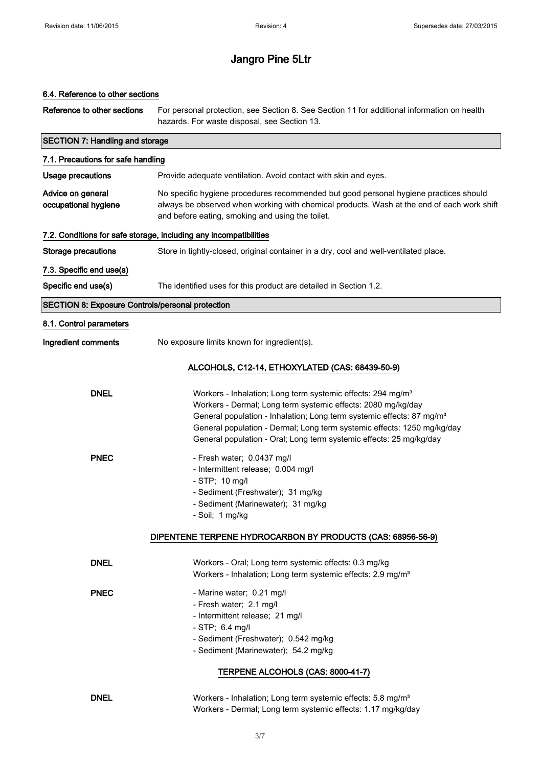#### 6.4. Reference to other sections

| Reference to other sections                             | For personal protection, see Section 8. See Section 11 for additional information on health<br>hazards. For waste disposal, see Section 13.                                                                                                                                                                                                                                    |
|---------------------------------------------------------|--------------------------------------------------------------------------------------------------------------------------------------------------------------------------------------------------------------------------------------------------------------------------------------------------------------------------------------------------------------------------------|
| <b>SECTION 7: Handling and storage</b>                  |                                                                                                                                                                                                                                                                                                                                                                                |
| 7.1. Precautions for safe handling                      |                                                                                                                                                                                                                                                                                                                                                                                |
| <b>Usage precautions</b>                                | Provide adequate ventilation. Avoid contact with skin and eyes.                                                                                                                                                                                                                                                                                                                |
| Advice on general<br>occupational hygiene               | No specific hygiene procedures recommended but good personal hygiene practices should<br>always be observed when working with chemical products. Wash at the end of each work shift<br>and before eating, smoking and using the toilet.                                                                                                                                        |
|                                                         | 7.2. Conditions for safe storage, including any incompatibilities                                                                                                                                                                                                                                                                                                              |
| <b>Storage precautions</b>                              | Store in tightly-closed, original container in a dry, cool and well-ventilated place.                                                                                                                                                                                                                                                                                          |
| 7.3. Specific end use(s)                                |                                                                                                                                                                                                                                                                                                                                                                                |
| Specific end use(s)                                     | The identified uses for this product are detailed in Section 1.2.                                                                                                                                                                                                                                                                                                              |
| <b>SECTION 8: Exposure Controls/personal protection</b> |                                                                                                                                                                                                                                                                                                                                                                                |
| 8.1. Control parameters                                 |                                                                                                                                                                                                                                                                                                                                                                                |
| Ingredient comments                                     | No exposure limits known for ingredient(s).                                                                                                                                                                                                                                                                                                                                    |
|                                                         | ALCOHOLS, C12-14, ETHOXYLATED (CAS: 68439-50-9)                                                                                                                                                                                                                                                                                                                                |
| <b>DNEL</b>                                             | Workers - Inhalation; Long term systemic effects: 294 mg/m <sup>3</sup><br>Workers - Dermal; Long term systemic effects: 2080 mg/kg/day<br>General population - Inhalation; Long term systemic effects: 87 mg/m <sup>3</sup><br>General population - Dermal; Long term systemic effects: 1250 mg/kg/day<br>General population - Oral; Long term systemic effects: 25 mg/kg/day |
| <b>PNEC</b>                                             | - Fresh water; 0.0437 mg/l<br>- Intermittent release; 0.004 mg/l<br>- STP; 10 mg/l<br>- Sediment (Freshwater); 31 mg/kg<br>- Sediment (Marinewater); 31 mg/kg<br>- Soil; 1 mg/kg                                                                                                                                                                                               |
|                                                         | DIPENTENE TERPENE HYDROCARBON BY PRODUCTS (CAS: 68956-56-9)                                                                                                                                                                                                                                                                                                                    |
| <b>DNEL</b>                                             | Workers - Oral; Long term systemic effects: 0.3 mg/kg<br>Workers - Inhalation; Long term systemic effects: 2.9 mg/m <sup>3</sup>                                                                                                                                                                                                                                               |
| <b>PNEC</b>                                             | - Marine water; 0.21 mg/l<br>- Fresh water; 2.1 mg/l<br>- Intermittent release; 21 mg/l<br>- STP; 6.4 mg/l<br>- Sediment (Freshwater); 0.542 mg/kg<br>- Sediment (Marinewater); 54.2 mg/kg<br>TERPENE ALCOHOLS (CAS: 8000-41-7)                                                                                                                                                |
| <b>DNEL</b>                                             | Workers - Inhalation; Long term systemic effects: 5.8 mg/m <sup>3</sup><br>Workers - Dermal; Long term systemic effects: 1.17 mg/kg/day                                                                                                                                                                                                                                        |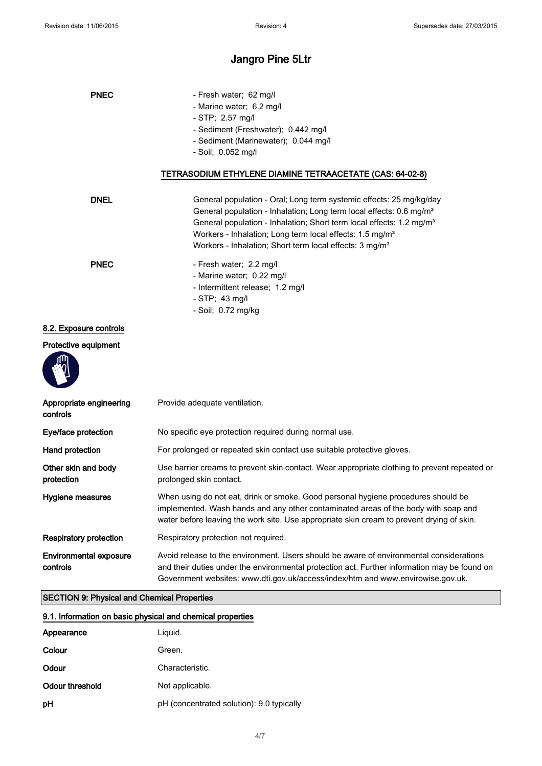| <b>PNEC</b>                                        | - Fresh water; 62 mg/l                                                                                                                                                                                                                                                     |
|----------------------------------------------------|----------------------------------------------------------------------------------------------------------------------------------------------------------------------------------------------------------------------------------------------------------------------------|
|                                                    | - Marine water; 6.2 mg/l                                                                                                                                                                                                                                                   |
|                                                    | - STP; 2.57 mg/l                                                                                                                                                                                                                                                           |
|                                                    | - Sediment (Freshwater); 0.442 mg/l                                                                                                                                                                                                                                        |
|                                                    | - Sediment (Marinewater); 0.044 mg/l                                                                                                                                                                                                                                       |
|                                                    | - Soil; 0.052 mg/l                                                                                                                                                                                                                                                         |
|                                                    | TETRASODIUM ETHYLENE DIAMINE TETRAACETATE (CAS: 64-02-8)                                                                                                                                                                                                                   |
| <b>DNEL</b>                                        | General population - Oral; Long term systemic effects: 25 mg/kg/day                                                                                                                                                                                                        |
|                                                    | General population - Inhalation; Long term local effects: 0.6 mg/m <sup>3</sup>                                                                                                                                                                                            |
|                                                    | General population - Inhalation; Short term local effects: 1.2 mg/m <sup>3</sup>                                                                                                                                                                                           |
|                                                    | Workers - Inhalation; Long term local effects: 1.5 mg/m <sup>3</sup>                                                                                                                                                                                                       |
|                                                    | Workers - Inhalation; Short term local effects: 3 mg/m <sup>3</sup>                                                                                                                                                                                                        |
| <b>PNEC</b>                                        |                                                                                                                                                                                                                                                                            |
|                                                    | - Fresh water; 2.2 mg/l<br>- Marine water; 0.22 mg/l                                                                                                                                                                                                                       |
|                                                    | - Intermittent release; 1.2 mg/l                                                                                                                                                                                                                                           |
|                                                    | - STP; 43 mg/l                                                                                                                                                                                                                                                             |
|                                                    | - Soil; 0.72 mg/kg                                                                                                                                                                                                                                                         |
|                                                    |                                                                                                                                                                                                                                                                            |
| 8.2. Exposure controls                             |                                                                                                                                                                                                                                                                            |
| Protective equipment                               |                                                                                                                                                                                                                                                                            |
|                                                    |                                                                                                                                                                                                                                                                            |
| Appropriate engineering<br>controls                | Provide adequate ventilation.                                                                                                                                                                                                                                              |
| Eye/face protection                                | No specific eye protection required during normal use.                                                                                                                                                                                                                     |
| Hand protection                                    | For prolonged or repeated skin contact use suitable protective gloves.                                                                                                                                                                                                     |
| Other skin and body<br>protection                  | Use barrier creams to prevent skin contact. Wear appropriate clothing to prevent repeated or<br>prolonged skin contact.                                                                                                                                                    |
| <b>Hygiene measures</b>                            | When using do not eat, drink or smoke. Good personal hygiene procedures should be<br>implemented. Wash hands and any other contaminated areas of the body with soap and<br>water before leaving the work site. Use appropriate skin cream to prevent drying of skin.       |
| <b>Respiratory protection</b>                      | Respiratory protection not required.                                                                                                                                                                                                                                       |
| <b>Environmental exposure</b><br>controls          | Avoid release to the environment. Users should be aware of environmental considerations<br>and their duties under the environmental protection act. Further information may be found on<br>Government websites: www.dti.gov.uk/access/index/htm and www.envirowise.gov.uk. |
| <b>SECTION 9: Physical and Chemical Properties</b> |                                                                                                                                                                                                                                                                            |

#### 9.1. Information on basic physical and chemical properties

| Appearance      | Liguid.                                   |
|-----------------|-------------------------------------------|
| Colour          | Green.                                    |
| Odour           | Characteristic.                           |
| Odour threshold | Not applicable.                           |
| pH              | pH (concentrated solution): 9.0 typically |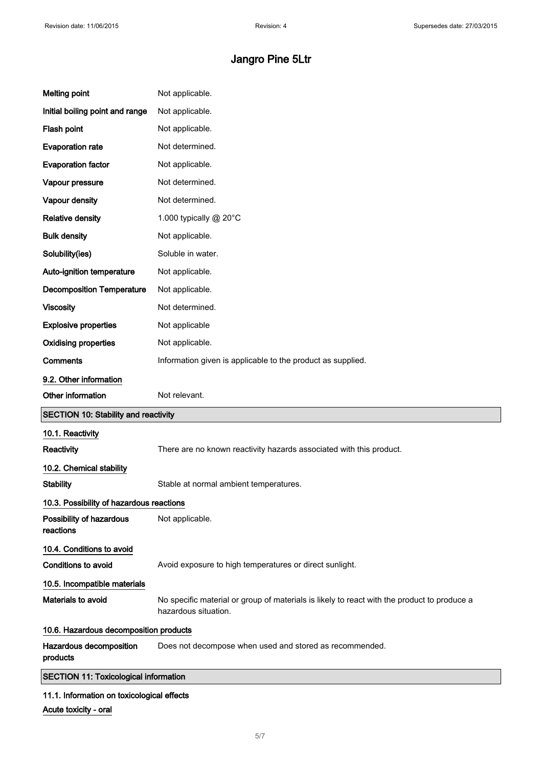| <b>Melting point</b>                         | Not applicable.                                                                                                     |
|----------------------------------------------|---------------------------------------------------------------------------------------------------------------------|
| Initial boiling point and range              | Not applicable.                                                                                                     |
| Flash point                                  | Not applicable.                                                                                                     |
| <b>Evaporation rate</b>                      | Not determined.                                                                                                     |
| <b>Evaporation factor</b>                    | Not applicable.                                                                                                     |
| Vapour pressure                              | Not determined.                                                                                                     |
| Vapour density                               | Not determined.                                                                                                     |
| <b>Relative density</b>                      | 1.000 typically @ 20°C                                                                                              |
| <b>Bulk density</b>                          | Not applicable.                                                                                                     |
| Solubility(ies)                              | Soluble in water.                                                                                                   |
| Auto-ignition temperature                    | Not applicable.                                                                                                     |
| <b>Decomposition Temperature</b>             | Not applicable.                                                                                                     |
| <b>Viscosity</b>                             | Not determined.                                                                                                     |
| <b>Explosive properties</b>                  | Not applicable                                                                                                      |
| <b>Oxidising properties</b>                  | Not applicable.                                                                                                     |
| <b>Comments</b>                              | Information given is applicable to the product as supplied.                                                         |
| 9.2. Other information                       |                                                                                                                     |
| Other information                            | Not relevant.                                                                                                       |
| <b>SECTION 10: Stability and reactivity</b>  |                                                                                                                     |
| 10.1. Reactivity                             |                                                                                                                     |
| Reactivity                                   | There are no known reactivity hazards associated with this product.                                                 |
| 10.2. Chemical stability                     |                                                                                                                     |
| <b>Stability</b>                             | Stable at normal ambient temperatures.                                                                              |
| 10.3. Possibility of hazardous reactions     |                                                                                                                     |
| Possibility of hazardous<br>reactions        | Not applicable.                                                                                                     |
| 10.4. Conditions to avoid                    |                                                                                                                     |
| Conditions to avoid                          | Avoid exposure to high temperatures or direct sunlight.                                                             |
| 10.5. Incompatible materials                 |                                                                                                                     |
| Materials to avoid                           | No specific material or group of materials is likely to react with the product to produce a<br>hazardous situation. |
| 10.6. Hazardous decomposition products       |                                                                                                                     |
| Hazardous decomposition<br>products          | Does not decompose when used and stored as recommended.                                                             |
| <b>SECTION 11: Toxicological information</b> |                                                                                                                     |
|                                              |                                                                                                                     |

Acute toxicity - oral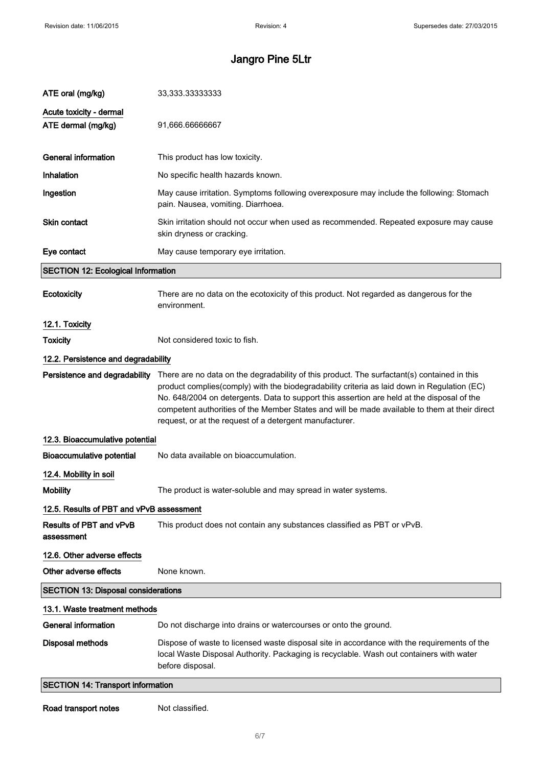| ATE oral (mg/kg)                              | 33,333.33333333                                                                                                                                                                                                                                                                                                                                                                                                                                      |
|-----------------------------------------------|------------------------------------------------------------------------------------------------------------------------------------------------------------------------------------------------------------------------------------------------------------------------------------------------------------------------------------------------------------------------------------------------------------------------------------------------------|
| Acute toxicity - dermal<br>ATE dermal (mg/kg) | 91,666.66666667                                                                                                                                                                                                                                                                                                                                                                                                                                      |
| <b>General information</b>                    | This product has low toxicity.                                                                                                                                                                                                                                                                                                                                                                                                                       |
| Inhalation                                    | No specific health hazards known.                                                                                                                                                                                                                                                                                                                                                                                                                    |
| Ingestion                                     | May cause irritation. Symptoms following overexposure may include the following: Stomach<br>pain. Nausea, vomiting. Diarrhoea.                                                                                                                                                                                                                                                                                                                       |
| Skin contact                                  | Skin irritation should not occur when used as recommended. Repeated exposure may cause<br>skin dryness or cracking.                                                                                                                                                                                                                                                                                                                                  |
| Eye contact                                   | May cause temporary eye irritation.                                                                                                                                                                                                                                                                                                                                                                                                                  |
| <b>SECTION 12: Ecological Information</b>     |                                                                                                                                                                                                                                                                                                                                                                                                                                                      |
| Ecotoxicity                                   | There are no data on the ecotoxicity of this product. Not regarded as dangerous for the<br>environment.                                                                                                                                                                                                                                                                                                                                              |
| 12.1. Toxicity                                |                                                                                                                                                                                                                                                                                                                                                                                                                                                      |
| <b>Toxicity</b>                               | Not considered toxic to fish.                                                                                                                                                                                                                                                                                                                                                                                                                        |
| 12.2. Persistence and degradability           |                                                                                                                                                                                                                                                                                                                                                                                                                                                      |
| Persistence and degradability                 | There are no data on the degradability of this product. The surfactant(s) contained in this<br>product complies(comply) with the biodegradability criteria as laid down in Regulation (EC)<br>No. 648/2004 on detergents. Data to support this assertion are held at the disposal of the<br>competent authorities of the Member States and will be made available to them at their direct<br>request, or at the request of a detergent manufacturer. |
| 12.3. Bioaccumulative potential               |                                                                                                                                                                                                                                                                                                                                                                                                                                                      |
| <b>Bioaccumulative potential</b>              | No data available on bioaccumulation.                                                                                                                                                                                                                                                                                                                                                                                                                |
| 12.4. Mobility in soil                        |                                                                                                                                                                                                                                                                                                                                                                                                                                                      |
| <b>Mobility</b>                               | The product is water-soluble and may spread in water systems.                                                                                                                                                                                                                                                                                                                                                                                        |
| 12.5. Results of PBT and vPvB assessment      |                                                                                                                                                                                                                                                                                                                                                                                                                                                      |
| Results of PBT and vPvB<br>assessment         | This product does not contain any substances classified as PBT or vPvB.                                                                                                                                                                                                                                                                                                                                                                              |
| 12.6. Other adverse effects                   |                                                                                                                                                                                                                                                                                                                                                                                                                                                      |
| Other adverse effects                         | None known.                                                                                                                                                                                                                                                                                                                                                                                                                                          |
| <b>SECTION 13: Disposal considerations</b>    |                                                                                                                                                                                                                                                                                                                                                                                                                                                      |
| 13.1. Waste treatment methods                 |                                                                                                                                                                                                                                                                                                                                                                                                                                                      |
| <b>General information</b>                    | Do not discharge into drains or watercourses or onto the ground.                                                                                                                                                                                                                                                                                                                                                                                     |
| <b>Disposal methods</b>                       | Dispose of waste to licensed waste disposal site in accordance with the requirements of the<br>local Waste Disposal Authority. Packaging is recyclable. Wash out containers with water<br>before disposal.                                                                                                                                                                                                                                           |
| <b>SECTION 14: Transport information</b>      |                                                                                                                                                                                                                                                                                                                                                                                                                                                      |

Road transport notes Mot classified.